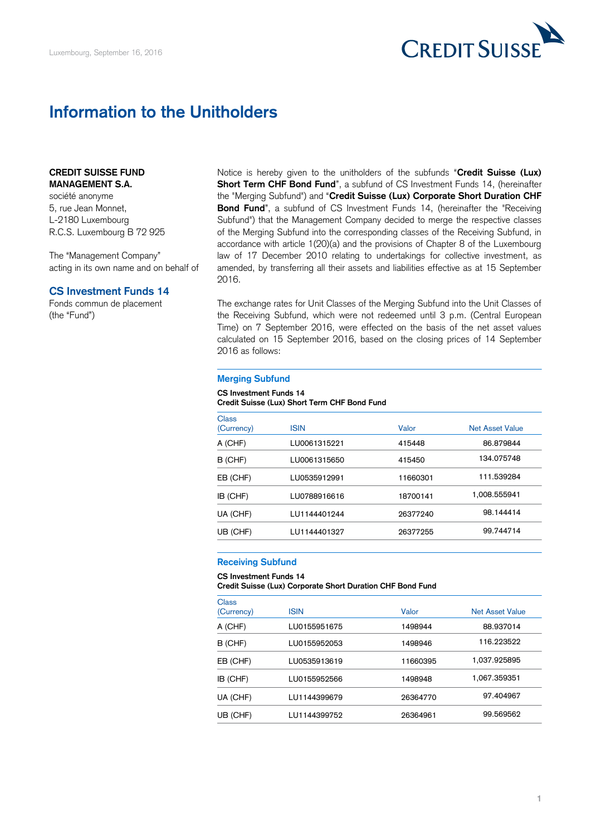

# **Information to the Unitholders**

## **CREDIT SUISSE FUND MANAGEMENT S.A.**

société anonyme 5, rue Jean Monnet, L-2180 Luxembourg R.C.S. Luxembourg B 72 925

The "Management Company" acting in its own name and on behalf of

## **CS Investment Funds 14**

Fonds commun de placement (the "Fund")

Notice is hereby given to the unitholders of the subfunds "**Credit Suisse (Lux) Short Term CHF Bond Fund**", a subfund of CS Investment Funds 14, (hereinafter the "Merging Subfund") and "**Credit Suisse (Lux) Corporate Short Duration CHF Bond Fund**", a subfund of CS Investment Funds 14, (hereinafter the "Receiving Subfund") that the Management Company decided to merge the respective classes of the Merging Subfund into the corresponding classes of the Receiving Subfund, in accordance with article 1(20)(a) and the provisions of Chapter 8 of the Luxembourg law of 17 December 2010 relating to undertakings for collective investment, as amended, by transferring all their assets and liabilities effective as at 15 September 2016.

The exchange rates for Unit Classes of the Merging Subfund into the Unit Classes of the Receiving Subfund, which were not redeemed until 3 p.m. (Central European Time) on 7 September 2016, were effected on the basis of the net asset values calculated on 15 September 2016, based on the closing prices of 14 September 2016 as follows:

### **Merging Subfund**

#### **CS Investment Funds 14 Credit Suisse (Lux) Short Term CHF Bond Fund**

| <b>Class</b> |              |          |                        |
|--------------|--------------|----------|------------------------|
| (Currency)   | <b>ISIN</b>  | Valor    | <b>Net Asset Value</b> |
| A (CHF)      | LU0061315221 | 415448   | 86.879844              |
| B (CHF)      | LU0061315650 | 415450   | 134.075748             |
| EB (CHF)     | LU0535912991 | 11660301 | 111.539284             |
| IB (CHF)     | LU0788916616 | 18700141 | 1,008.555941           |
| UA (CHF)     | LU1144401244 | 26377240 | 98.144414              |
| UB (CHF)     | LU1144401327 | 26377255 | 99.744714              |

## **Receiving Subfund**

**CS Investment Funds 14**

**Credit Suisse (Lux) Corporate Short Duration CHF Bond Fund**

| Class<br>(Currency) | <b>ISIN</b>  | Valor    | <b>Net Asset Value</b> |
|---------------------|--------------|----------|------------------------|
| A (CHF)             | LU0155951675 | 1498944  | 88.937014              |
| B (CHF)             | LU0155952053 | 1498946  | 116.223522             |
| EB (CHF)            | LU0535913619 | 11660395 | 1,037.925895           |
| IB (CHF)            | LU0155952566 | 1498948  | 1,067.359351           |
| UA (CHF)            | LU1144399679 | 26364770 | 97.404967              |
| UB (CHF)            | LU1144399752 | 26364961 | 99.569562              |